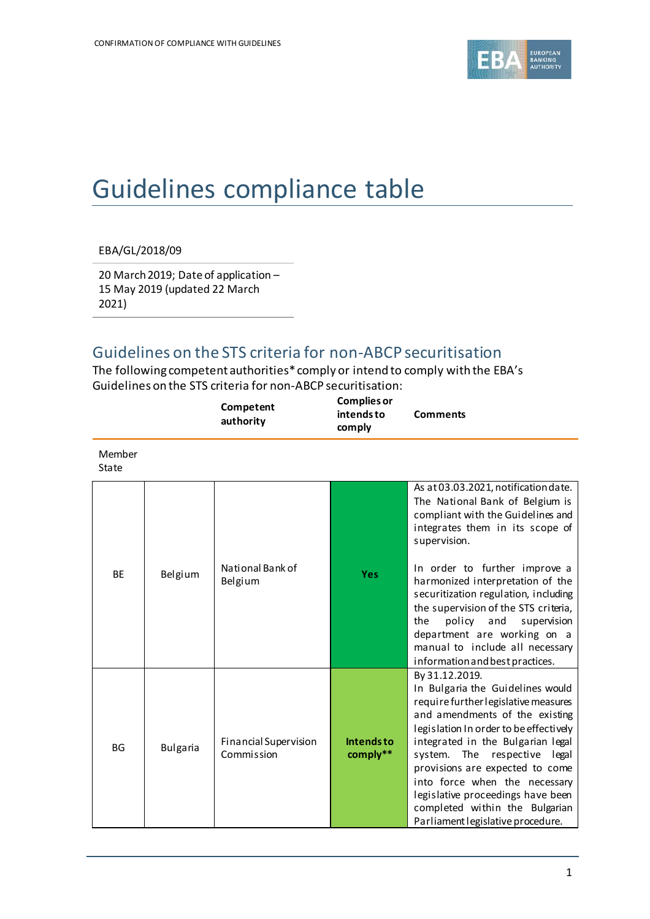

## Guidelines compliance table

EBA/GL/2018/09

20 March 2019; Date of application – 15 May 2019 (updated 22 March 2021)

## Guidelines on the STS criteria for non-ABCP securitisation

The following competent authorities\* comply or intend to comply with the EBA's Guidelines on the STS criteria for non-ABCP securitisation:

|                 |                 | Competent<br>authority              | <b>Complies or</b><br>intends to<br>comply | <b>Comments</b>                                                                                                                                                                                                                                                                                                                                                                                                             |
|-----------------|-----------------|-------------------------------------|--------------------------------------------|-----------------------------------------------------------------------------------------------------------------------------------------------------------------------------------------------------------------------------------------------------------------------------------------------------------------------------------------------------------------------------------------------------------------------------|
| Member<br>State |                 |                                     |                                            |                                                                                                                                                                                                                                                                                                                                                                                                                             |
| BE              | Belgium         | National Bank of<br>Belgium         | <b>Yes</b>                                 | As at 03.03.2021, notification date.<br>The National Bank of Belgium is<br>compliant with the Guidelines and<br>integrates them in its scope of<br>supervision.<br>In order to further improve a<br>harmonized interpretation of the<br>securitization regulation, including<br>the supervision of the STS criteria,<br>policy and<br>supervision<br>the<br>department are working on a                                     |
|                 |                 |                                     |                                            | manual to include all necessary<br>information and best practices.                                                                                                                                                                                                                                                                                                                                                          |
| <b>BG</b>       | <b>Bulgaria</b> | Financial Supervision<br>Commission | <b>Intendsto</b><br>comply**               | By 31.12.2019.<br>In Bulgaria the Guidelines would<br>require further legislative measures<br>and amendments of the existing<br>legislation In order to be effectively<br>integrated in the Bulgarian legal<br>system. The respective legal<br>provisions are expected to come<br>into force when the necessary<br>legislative proceedings have been<br>completed within the Bulgarian<br>Parliament legislative procedure. |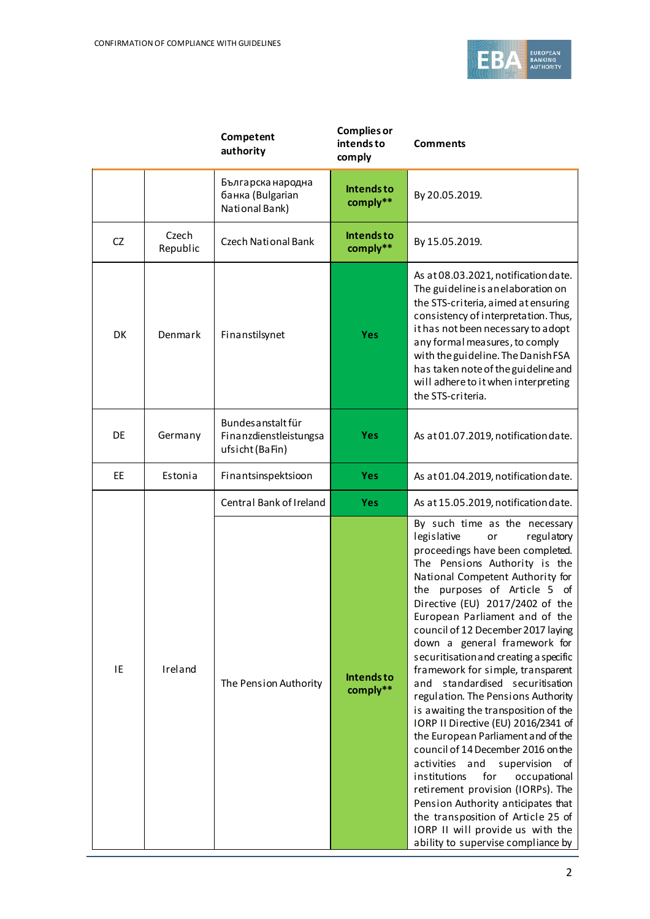

|    |                   | Competent<br>authority                                          | <b>Complies or</b><br>intends to<br>comply | <b>Comments</b>                                                                                                                                                                                                                                                                                                                                                                                                                                                                                                                                                                                                                                                                                                                                                                                                                                                                                                                                     |
|----|-------------------|-----------------------------------------------------------------|--------------------------------------------|-----------------------------------------------------------------------------------------------------------------------------------------------------------------------------------------------------------------------------------------------------------------------------------------------------------------------------------------------------------------------------------------------------------------------------------------------------------------------------------------------------------------------------------------------------------------------------------------------------------------------------------------------------------------------------------------------------------------------------------------------------------------------------------------------------------------------------------------------------------------------------------------------------------------------------------------------------|
|    |                   | Българска народна<br>банка (Bulgarian<br>National Bank)         | Intends to<br>comply**                     | By 20.05.2019.                                                                                                                                                                                                                                                                                                                                                                                                                                                                                                                                                                                                                                                                                                                                                                                                                                                                                                                                      |
| CZ | Czech<br>Republic | <b>Czech National Bank</b>                                      | <b>Intendsto</b><br>comply**               | By 15.05.2019.                                                                                                                                                                                                                                                                                                                                                                                                                                                                                                                                                                                                                                                                                                                                                                                                                                                                                                                                      |
| DK | Denmark           | Finanstilsynet                                                  | Yes                                        | As at 08.03.2021, notification date.<br>The guideline is an elaboration on<br>the STS-criteria, aimed at ensuring<br>consistency of interpretation. Thus,<br>it has not been necessary to adopt<br>any formal measures, to comply<br>with the guideline. The Danish FSA<br>has taken note of the guideline and<br>will adhere to it when interpreting<br>the STS-criteria.                                                                                                                                                                                                                                                                                                                                                                                                                                                                                                                                                                          |
| DE | Germany           | Bundes anstalt für<br>Finanzdienstleistungsa<br>ufsicht (BaFin) | <b>Yes</b>                                 | As at 01.07.2019, notification date.                                                                                                                                                                                                                                                                                                                                                                                                                                                                                                                                                                                                                                                                                                                                                                                                                                                                                                                |
| EE | Estonia           | Finantsinspektsioon                                             | <b>Yes</b>                                 | As at 01.04.2019, notification date.                                                                                                                                                                                                                                                                                                                                                                                                                                                                                                                                                                                                                                                                                                                                                                                                                                                                                                                |
|    |                   | Central Bank of Ireland                                         | <b>Yes</b>                                 | As at 15.05.2019, notification date.                                                                                                                                                                                                                                                                                                                                                                                                                                                                                                                                                                                                                                                                                                                                                                                                                                                                                                                |
| IE | Ireland           | The Pension Authority                                           | <b>Intendsto</b><br>comply**               | By such time as the necessary<br>legislative<br>regulatory<br>or<br>proceedings have been completed.<br>The Pensions Authority is the<br>National Competent Authority for<br>the purposes of Article 5 of<br>Directive (EU) 2017/2402 of the<br>European Parliament and of the<br>council of 12 December 2017 laying<br>down a general framework for<br>securitisation and creating a specific<br>framework for simple, transparent<br>standardised securitisation<br>and<br>regulation. The Pensions Authority<br>is awaiting the transposition of the<br>IORP II Directive (EU) 2016/2341 of<br>the European Parliament and of the<br>council of 14 December 2016 on the<br>activities and<br>supervision<br>of<br>institutions<br>for<br>occupational<br>retirement provision (IORPs). The<br>Pension Authority anticipates that<br>the transposition of Article 25 of<br>IORP II will provide us with the<br>ability to supervise compliance by |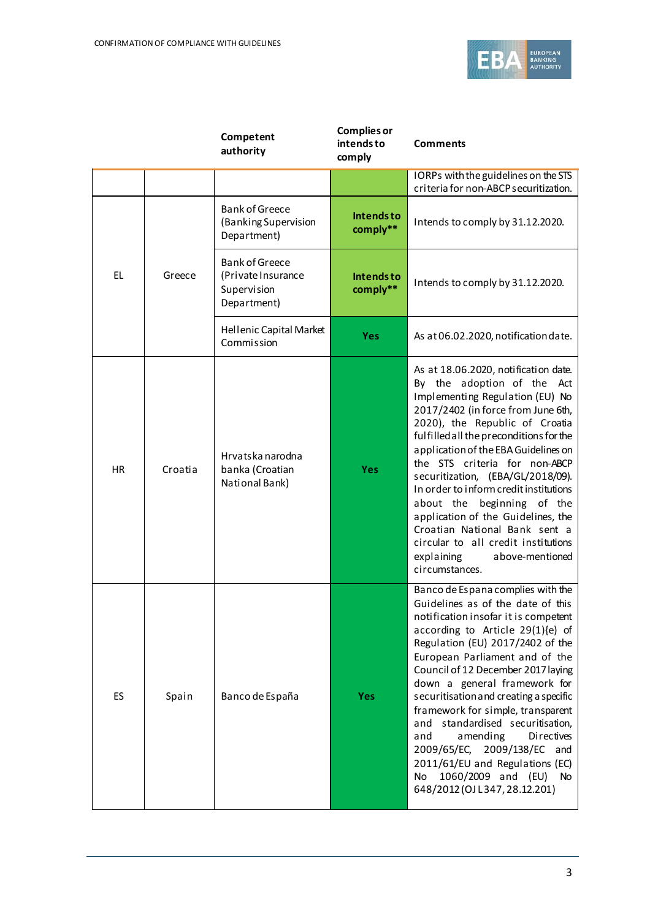

|           |         | Competent<br>authority                                                    | <b>Complies or</b><br>intends to<br>comply | <b>Comments</b>                                                                                                                                                                                                                                                                                                                                                                                                                                                                                                                                                                                         |
|-----------|---------|---------------------------------------------------------------------------|--------------------------------------------|---------------------------------------------------------------------------------------------------------------------------------------------------------------------------------------------------------------------------------------------------------------------------------------------------------------------------------------------------------------------------------------------------------------------------------------------------------------------------------------------------------------------------------------------------------------------------------------------------------|
|           |         |                                                                           |                                            | IORPs with the guidelines on the STS<br>criteria for non-ABCP securitization.                                                                                                                                                                                                                                                                                                                                                                                                                                                                                                                           |
|           |         | <b>Bank of Greece</b><br>(Banking Supervision<br>Department)              | <b>Intendsto</b><br>comply**               | Intends to comply by 31.12.2020.                                                                                                                                                                                                                                                                                                                                                                                                                                                                                                                                                                        |
| EL        | Greece  | <b>Bank of Greece</b><br>(Private Insurance<br>Supervision<br>Department) | <b>Intendsto</b><br>comply**               | Intends to comply by 31.12.2020.                                                                                                                                                                                                                                                                                                                                                                                                                                                                                                                                                                        |
|           |         | Hellenic Capital Market<br>Commission                                     | <b>Yes</b>                                 | As at 06.02.2020, notification date.                                                                                                                                                                                                                                                                                                                                                                                                                                                                                                                                                                    |
| <b>HR</b> | Croatia | Hrvatska narodna<br>banka (Croatian<br>National Bank)                     | <b>Yes</b>                                 | As at 18.06.2020, notification date.<br>By the adoption of the Act<br>Implementing Regulation (EU) No<br>2017/2402 (in force from June 6th,<br>2020), the Republic of Croatia<br>fulfilled all the preconditions for the<br>application of the EBA Guidelines on<br>the STS criteria for non-ABCP<br>securitization, (EBA/GL/2018/09).<br>In order to inform credit institutions<br>about the beginning of the<br>application of the Guidelines, the<br>Croatian National Bank sent a<br>circular to all credit institutions<br>explaining<br>above-mentioned<br>circumstances.                         |
| ES        | Spain   | Banco de España                                                           | <b>Yes</b>                                 | Banco de Espana complies with the<br>Guidelines as of the date of this<br>notification insofar it is competent<br>according to Article 29(1){e) of<br>Regulation (EU) 2017/2402 of the<br>European Parliament and of the<br>Council of 12 December 2017 laying<br>down a general framework for<br>securitisation and creating a specific<br>framework for simple, transparent<br>standardised securitisation,<br>and<br>amending<br>and<br><b>Directives</b><br>2009/138/EC<br>2009/65/EC,<br>and<br>2011/61/EU and Regulations (EC)<br>1060/2009 and (EU)<br>No<br>No<br>648/2012 (OJ L347, 28.12.201) |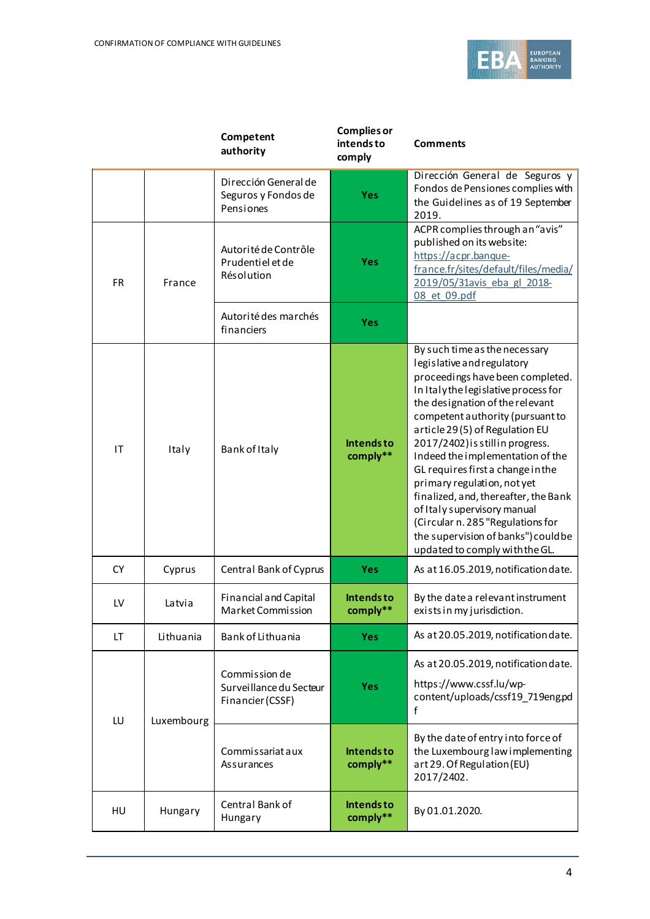

|           |            | Competent<br>authority                                       | <b>Complies or</b><br>intends to<br>comply | <b>Comments</b>                                                                                                                                                                                                                                                                                                                                                                                                                                                                                                                                                                   |
|-----------|------------|--------------------------------------------------------------|--------------------------------------------|-----------------------------------------------------------------------------------------------------------------------------------------------------------------------------------------------------------------------------------------------------------------------------------------------------------------------------------------------------------------------------------------------------------------------------------------------------------------------------------------------------------------------------------------------------------------------------------|
|           |            | Dirección General de<br>Seguros y Fondos de<br>Pensiones     | <b>Yes</b>                                 | Dirección General de Seguros y<br>Fondos de Pensiones complies with<br>the Guidelines as of 19 September<br>2019.                                                                                                                                                                                                                                                                                                                                                                                                                                                                 |
| <b>FR</b> | France     | Autorité de Contrôle<br>Prudentiel et de<br>Résolution       | Yes                                        | ACPR complies through an "avis"<br>published on its website:<br>https://acpr.banque-<br>france.fr/sites/default/files/media/<br>2019/05/31avis eba gl 2018-<br>08 et 09.pdf                                                                                                                                                                                                                                                                                                                                                                                                       |
|           |            | Autorité des marchés<br>financiers                           | <b>Yes</b>                                 |                                                                                                                                                                                                                                                                                                                                                                                                                                                                                                                                                                                   |
| IT        | Italy      | Bank of Italy                                                | <b>Intendsto</b><br>comply**               | By such time as the necessary<br>legislative and regulatory<br>proceedings have been completed.<br>In Italy the legislative process for<br>the designation of the relevant<br>competent authority (pursuant to<br>article 29(5) of Regulation EU<br>2017/2402) is still in progress.<br>Indeed the implementation of the<br>GL requires first a change in the<br>primary regulation, not yet<br>finalized, and, thereafter, the Bank<br>of Italy supervisory manual<br>(Circular n. 285 "Regulations for<br>the supervision of banks") could be<br>updated to comply with the GL. |
| <b>CY</b> | Cyprus     | Central Bank of Cyprus                                       | <b>Yes</b>                                 | As at 16.05.2019, notification date.                                                                                                                                                                                                                                                                                                                                                                                                                                                                                                                                              |
| LV        | Latvia     | <b>Financial and Capital</b><br>Market Commission            | Intends to<br>comply**                     | By the date a relevant instrument<br>exists in my jurisdiction.                                                                                                                                                                                                                                                                                                                                                                                                                                                                                                                   |
| LT        | Lithuania  | Bank of Lithuania                                            | <b>Yes</b>                                 | As at 20.05.2019, notification date.                                                                                                                                                                                                                                                                                                                                                                                                                                                                                                                                              |
| LU        | Luxembourg | Commission de<br>Surveillance du Secteur<br>Financier (CSSF) | <b>Yes</b>                                 | As at 20.05.2019, notification date.<br>https://www.cssf.lu/wp-<br>content/uploads/cssf19_719eng.pd<br>f                                                                                                                                                                                                                                                                                                                                                                                                                                                                          |
|           |            | Commissariat aux<br>Assurances                               | <b>Intendsto</b><br>comply**               | By the date of entry into force of<br>the Luxembourg law implementing<br>art 29. Of Regulation (EU)<br>2017/2402.                                                                                                                                                                                                                                                                                                                                                                                                                                                                 |
| HU        | Hungary    | Central Bank of<br>Hungary                                   | <b>Intendsto</b><br>comply**               | By 01.01.2020.                                                                                                                                                                                                                                                                                                                                                                                                                                                                                                                                                                    |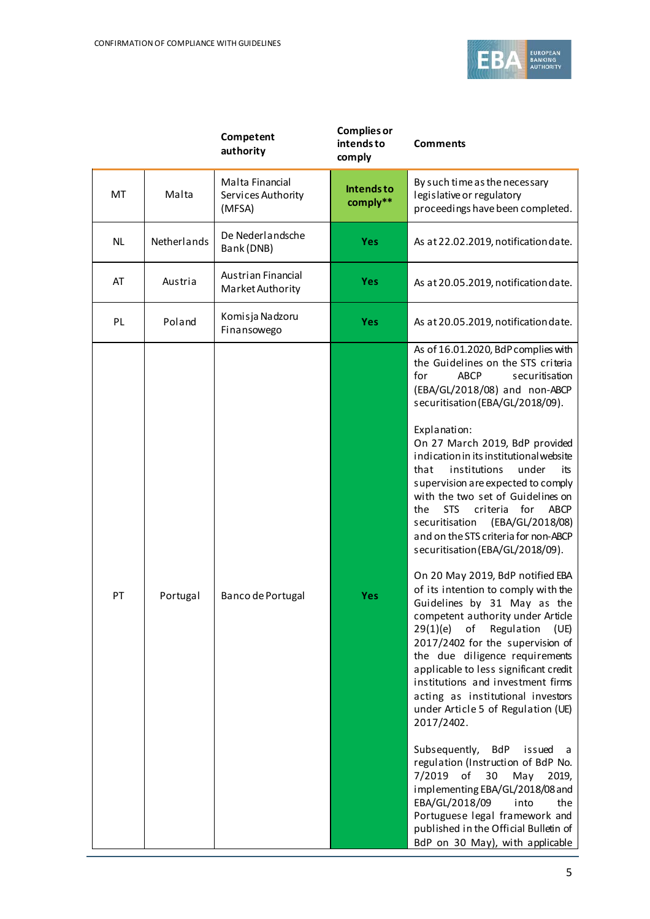

|           |             | Competent<br>authority                          | <b>Complies or</b><br>intends to<br>comply | <b>Comments</b>                                                                                                                                                                                                                                                                                                                                                                                                                                                                                                                                                                                                                                                                                                                                                                                                                                                                                                                                                                                                                                                                                                                                                                                                                                                                                                              |
|-----------|-------------|-------------------------------------------------|--------------------------------------------|------------------------------------------------------------------------------------------------------------------------------------------------------------------------------------------------------------------------------------------------------------------------------------------------------------------------------------------------------------------------------------------------------------------------------------------------------------------------------------------------------------------------------------------------------------------------------------------------------------------------------------------------------------------------------------------------------------------------------------------------------------------------------------------------------------------------------------------------------------------------------------------------------------------------------------------------------------------------------------------------------------------------------------------------------------------------------------------------------------------------------------------------------------------------------------------------------------------------------------------------------------------------------------------------------------------------------|
| MT        | Malta       | Malta Financial<br>Services Authority<br>(MFSA) | Intends to<br>comply**                     | By such time as the necessary<br>legislative or regulatory<br>proceedings have been completed.                                                                                                                                                                                                                                                                                                                                                                                                                                                                                                                                                                                                                                                                                                                                                                                                                                                                                                                                                                                                                                                                                                                                                                                                                               |
| <b>NL</b> | Netherlands | De Nederlandsche<br>Bank (DNB)                  | <b>Yes</b>                                 | As at 22.02.2019, notification date.                                                                                                                                                                                                                                                                                                                                                                                                                                                                                                                                                                                                                                                                                                                                                                                                                                                                                                                                                                                                                                                                                                                                                                                                                                                                                         |
| AT        | Austria     | Austrian Financial<br>Market Authority          | <b>Yes</b>                                 | As at 20.05.2019, notification date.                                                                                                                                                                                                                                                                                                                                                                                                                                                                                                                                                                                                                                                                                                                                                                                                                                                                                                                                                                                                                                                                                                                                                                                                                                                                                         |
| PL        | Poland      | Komisja Nadzoru<br>Finansowego                  | <b>Yes</b>                                 | As at 20.05.2019, notification date.                                                                                                                                                                                                                                                                                                                                                                                                                                                                                                                                                                                                                                                                                                                                                                                                                                                                                                                                                                                                                                                                                                                                                                                                                                                                                         |
| PT        | Portugal    | Banco de Portugal                               | <b>Yes</b>                                 | As of 16.01.2020, BdP complies with<br>the Guidelines on the STS criteria<br>for<br><b>ABCP</b><br>securitisation<br>(EBA/GL/2018/08) and non-ABCP<br>securitisation (EBA/GL/2018/09).<br>Explanation:<br>On 27 March 2019, BdP provided<br>indication in its institutional website<br>institutions<br>that<br>under<br>its<br>supervision are expected to comply<br>with the two set of Guidelines on<br><b>STS</b><br>criteria for<br><b>ABCP</b><br>the<br>securitisation<br>(EBA/GL/2018/08)<br>and on the STS criteria for non-ABCP<br>securitisation (EBA/GL/2018/09).<br>On 20 May 2019, BdP notified EBA<br>of its intention to comply with the<br>Guidelines by 31 May as the<br>competent authority under Article<br>29(1)(e)<br>of<br>Regulation<br>(UE)<br>2017/2402 for the supervision of<br>the due diligence requirements<br>applicable to less significant credit<br>institutions and investment firms<br>acting as institutional investors<br>under Article 5 of Regulation (UE)<br>2017/2402.<br>Subsequently,<br><b>BdP</b><br>issued<br>a<br>regulation (Instruction of BdP No.<br>7/2019<br>of<br>30<br>May<br>2019,<br>implementing EBA/GL/2018/08 and<br>EBA/GL/2018/09<br>into<br>the<br>Portuguese legal framework and<br>published in the Official Bulletin of<br>BdP on 30 May), with applicable |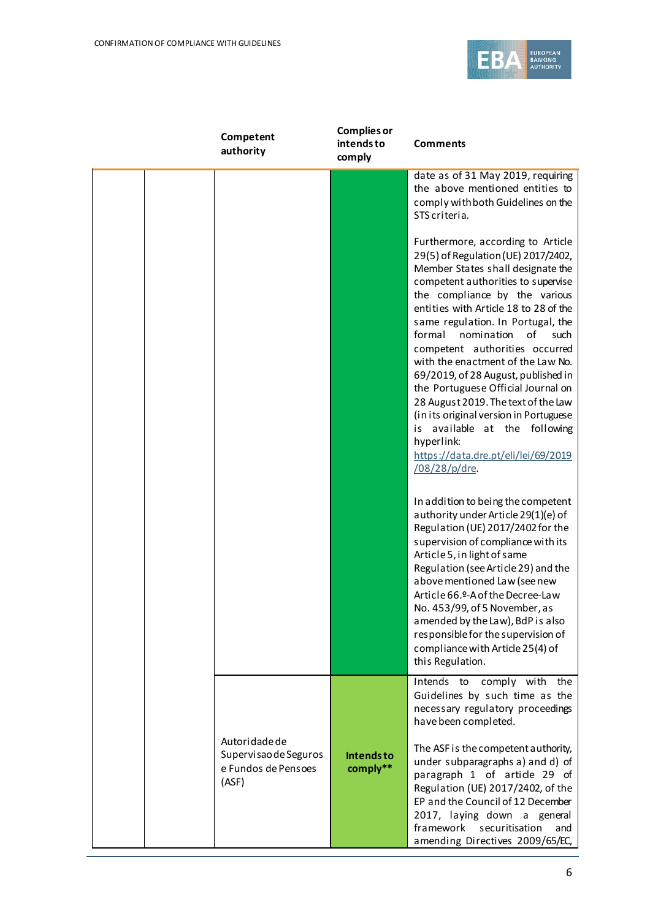

| Competent<br>authority                                                 | <b>Complies or</b><br>intends to<br>comply | <b>Comments</b>                                                                                                                                                                                                                                                                                                                                                                                                                                                   |
|------------------------------------------------------------------------|--------------------------------------------|-------------------------------------------------------------------------------------------------------------------------------------------------------------------------------------------------------------------------------------------------------------------------------------------------------------------------------------------------------------------------------------------------------------------------------------------------------------------|
|                                                                        |                                            | date as of 31 May 2019, requiring<br>the above mentioned entities to<br>comply with both Guidelines on the<br>STS criteria.<br>Furthermore, according to Article<br>29(5) of Regulation (UE) 2017/2402,<br>Member States shall designate the<br>competent authorities to supervise<br>the compliance by the various<br>entities with Article 18 to 28 of the<br>same regulation. In Portugal, the<br>formal<br>nomination<br>of<br>such                           |
|                                                                        |                                            | competent authorities occurred<br>with the enactment of the Law No.<br>69/2019, of 28 August, published in<br>the Portuguese Official Journal on<br>28 August 2019. The text of the Law<br>(in its original version in Portuguese<br>available at the following<br>is<br>hyperlink:<br>https://data.dre.pt/eli/lei/69/2019<br>/08/28/p/dre.                                                                                                                       |
|                                                                        |                                            | In addition to being the competent<br>authority under Article 29(1)(e) of<br>Regulation (UE) 2017/2402 for the<br>supervision of compliance with its<br>Article 5, in light of same<br>Regulation (see Article 29) and the<br>above mentioned Law (see new<br>Article 66.º-A of the Decree-Law<br>No. 453/99, of 5 November, as<br>amended by the Law), BdP is also<br>responsible for the supervision of<br>compliance with Article 25(4) of<br>this Regulation. |
| Autoridade de<br>Supervisao de Seguros<br>e Fundos de Pensoes<br>(ASF) | <b>Intendsto</b><br>comply**               | Intends to comply with the<br>Guidelines by such time as the<br>necessary regulatory proceedings<br>have been completed.<br>The ASF is the competent authority,<br>under subparagraphs a) and d) of<br>paragraph 1 of article 29 of<br>Regulation (UE) 2017/2402, of the<br>EP and the Council of 12 December<br>2017, laying down a general<br>framework<br>securitisation<br>and<br>amending Directives 2009/65/EC,                                             |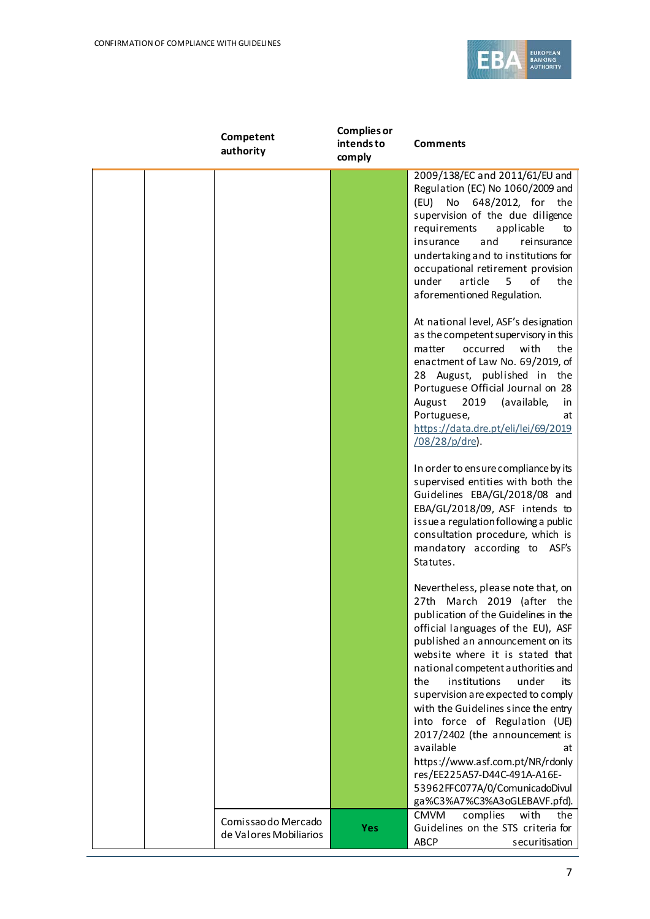

| Competent<br>authority                        | <b>Complies or</b><br>intends to<br>comply | <b>Comments</b>                                                                                                                                                                                                                                                                                                                                                                                                                                                                                                                                                                                                |
|-----------------------------------------------|--------------------------------------------|----------------------------------------------------------------------------------------------------------------------------------------------------------------------------------------------------------------------------------------------------------------------------------------------------------------------------------------------------------------------------------------------------------------------------------------------------------------------------------------------------------------------------------------------------------------------------------------------------------------|
|                                               |                                            | 2009/138/EC and 2011/61/EU and<br>Regulation (EC) No 1060/2009 and<br>No<br>648/2012, for the<br>(EU)<br>supervision of the due diligence<br>requirements<br>applicable<br>to<br>rei nsurance<br>insurance<br>and<br>undertaking and to institutions for<br>occupational retirement provision<br>under<br>article<br>5<br>of<br>the<br>aforementioned Regulation.                                                                                                                                                                                                                                              |
|                                               |                                            | At national level, ASF's designation<br>as the competent supervisory in this<br>occurred<br>with<br>matter<br>the<br>enactment of Law No. 69/2019, of<br>28 August, published in the<br>Portuguese Official Journal on 28<br>2019<br>(available,<br>August<br>in<br>Portuguese,<br>at<br>https://data.dre.pt/eli/lei/69/2019<br>/08/28/p/dre).                                                                                                                                                                                                                                                                 |
|                                               |                                            | In order to ensure compliance by its<br>supervised entities with both the<br>Guidelines EBA/GL/2018/08 and<br>EBA/GL/2018/09, ASF intends to<br>issue a regulation following a public<br>consultation procedure, which is<br>mandatory according to ASF's<br>Statutes.                                                                                                                                                                                                                                                                                                                                         |
|                                               |                                            | Nevertheless, please note that, on<br>March 2019 (after the<br>27th<br>publication of the Guidelines in the<br>official languages of the EU), ASF<br>published an announcement on its<br>website where it is stated that<br>national competent authorities and<br>the<br>institutions<br>under<br>its<br>supervision are expected to comply<br>with the Guidelines since the entry<br>into force of Regulation (UE)<br>2017/2402 (the announcement is<br>available<br>at<br>https://www.asf.com.pt/NR/rdonly<br>res/EE225A57-D44C-491A-A16E-<br>53962FFC077A/0/ComunicadoDivul<br>ga%C3%A7%C3%A3oGLEBAVF.pfd). |
| Comissao do Mercado<br>de Valores Mobiliarios | <b>Yes</b>                                 | <b>CMVM</b><br>complies<br>with<br>the<br>Guidelines on the STS criteria for<br><b>ABCP</b><br>securitisation                                                                                                                                                                                                                                                                                                                                                                                                                                                                                                  |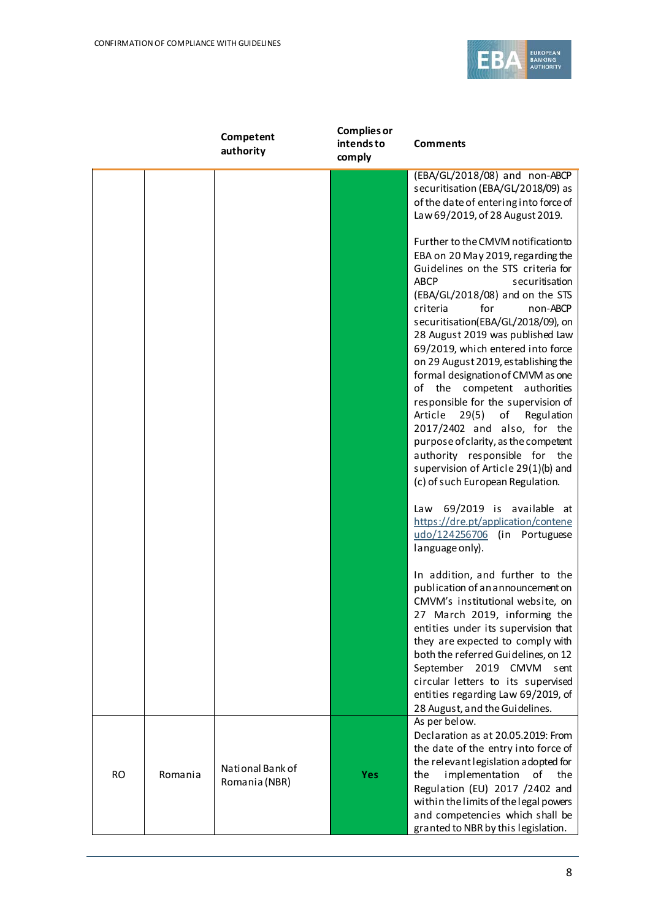

|           |         | Competent<br>authority            | <b>Complies or</b><br>intends to<br>comply | <b>Comments</b>                                                                                                                                                                                                                                                                                                                                                                                                                                                                                                                                                                                                                                                                                                                                 |
|-----------|---------|-----------------------------------|--------------------------------------------|-------------------------------------------------------------------------------------------------------------------------------------------------------------------------------------------------------------------------------------------------------------------------------------------------------------------------------------------------------------------------------------------------------------------------------------------------------------------------------------------------------------------------------------------------------------------------------------------------------------------------------------------------------------------------------------------------------------------------------------------------|
|           |         |                                   |                                            | (EBA/GL/2018/08) and non-ABCP<br>securitisation (EBA/GL/2018/09) as<br>of the date of entering into force of                                                                                                                                                                                                                                                                                                                                                                                                                                                                                                                                                                                                                                    |
|           |         |                                   |                                            | Law 69/2019, of 28 August 2019.<br>Further to the CMVM notificationto<br>EBA on 20 May 2019, regarding the<br>Guidelines on the STS criteria for<br><b>ABCP</b><br>securitisation<br>(EBA/GL/2018/08) and on the STS<br>for<br>criteria<br>non-ABCP<br>securitisation(EBA/GL/2018/09), on<br>28 August 2019 was published Law<br>69/2019, which entered into force<br>on 29 August 2019, establishing the<br>formal designation of CMVM as one<br>of the competent authorities<br>responsible for the supervision of<br>Article<br>29(5)<br>Regulation<br>of<br>2017/2402 and also, for the<br>purpose of clarity, as the competent<br>authority responsible for the<br>supervision of Article 29(1)(b) and<br>(c) of such European Regulation. |
|           |         |                                   |                                            | Law 69/2019 is available at<br>https://dre.pt/application/contene<br>udo/124256706 (in Portuguese<br>language only).                                                                                                                                                                                                                                                                                                                                                                                                                                                                                                                                                                                                                            |
|           |         |                                   |                                            | In addition, and further to the<br>publication of an announcement on<br>CMVM's institutional website, on<br>27 March 2019, informing the<br>entities under its supervision that<br>they are expected to comply with<br>both the referred Guidelines, on 12<br>September 2019 CMVM<br>sent<br>circular letters to its supervised<br>entities regarding Law 69/2019, of<br>28 August, and the Guidelines.                                                                                                                                                                                                                                                                                                                                         |
| <b>RO</b> | Romania | National Bank of<br>Romania (NBR) | <b>Yes</b>                                 | As per below.<br>Declaration as at 20.05.2019: From<br>the date of the entry into force of<br>the relevant legislation adopted for<br>implementation<br>the<br>οf<br>the<br>Regulation (EU) 2017 /2402 and<br>within the limits of the legal powers<br>and competencies which shall be<br>granted to NBR by this legislation.                                                                                                                                                                                                                                                                                                                                                                                                                   |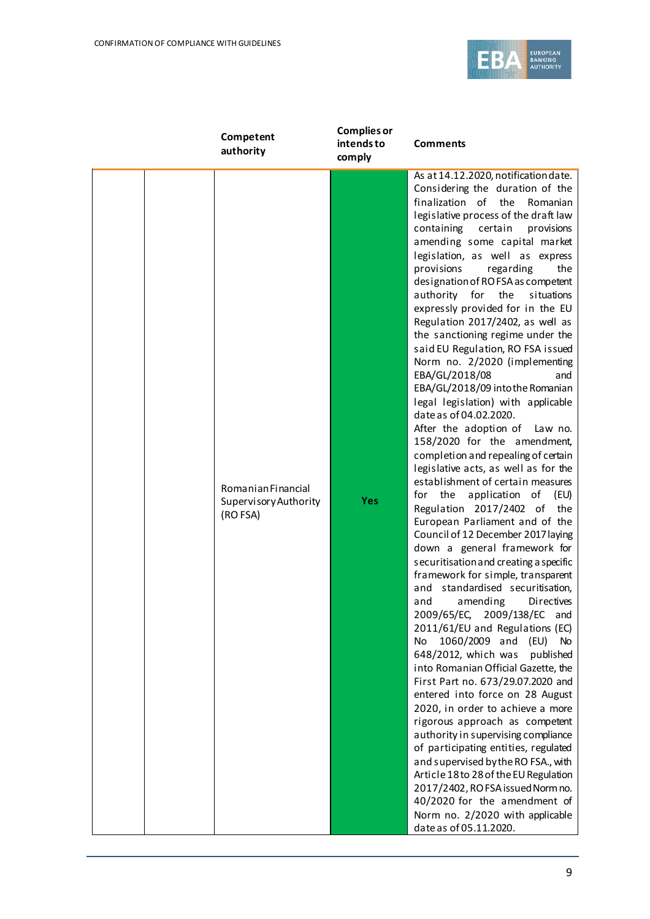

| Competent<br>authority                                  | <b>Complies or</b><br>intends to<br>comply | <b>Comments</b>                                                                                                                                                                                                                                                                                                                                                                                                                                                                                                                                                                                                                                                                                                                                                                                                                                                                                                                                                                                                                                                                                                                                                                                                                                                                                                                                                                                                                                                                                                                                                                                                                                                                                                                                                                                                                                           |
|---------------------------------------------------------|--------------------------------------------|-----------------------------------------------------------------------------------------------------------------------------------------------------------------------------------------------------------------------------------------------------------------------------------------------------------------------------------------------------------------------------------------------------------------------------------------------------------------------------------------------------------------------------------------------------------------------------------------------------------------------------------------------------------------------------------------------------------------------------------------------------------------------------------------------------------------------------------------------------------------------------------------------------------------------------------------------------------------------------------------------------------------------------------------------------------------------------------------------------------------------------------------------------------------------------------------------------------------------------------------------------------------------------------------------------------------------------------------------------------------------------------------------------------------------------------------------------------------------------------------------------------------------------------------------------------------------------------------------------------------------------------------------------------------------------------------------------------------------------------------------------------------------------------------------------------------------------------------------------------|
| Romanian Financial<br>Supervisory Authority<br>(RO FSA) | <b>Yes</b>                                 | As at 14.12.2020, notification date.<br>Considering the duration of the<br>finalization of the<br>Romanian<br>legislative process of the draft law<br>containing certain<br>provisions<br>amending some capital market<br>legislation, as well as express<br>provisions<br>regarding<br>the<br>designation of RO FSA as competent<br>the<br>authority for<br>situations<br>expressly provided for in the EU<br>Regulation 2017/2402, as well as<br>the sanctioning regime under the<br>said EU Regulation, RO FSA issued<br>Norm no. 2/2020 (implementing<br>EBA/GL/2018/08<br>and<br>EBA/GL/2018/09 into the Romanian<br>legal legislation) with applicable<br>date as of 04.02.2020.<br>After the adoption of Law no.<br>158/2020 for the amendment,<br>completion and repealing of certain<br>legislative acts, as well as for the<br>establishment of certain measures<br>the<br>application<br>for<br>of<br>(EU)<br>Regulation 2017/2402 of<br>the<br>European Parliament and of the<br>Council of 12 December 2017 laying<br>down a general framework for<br>securitisation and creating a specific<br>framework for simple, transparent<br>and standardised securitisation,<br>amending<br>Directives<br>and<br>2009/65/EC, 2009/138/EC and<br>2011/61/EU and Regulations (EC)<br>1060/2009 and (EU)<br><b>No</b><br>No.<br>648/2012, which was<br>published<br>into Romanian Official Gazette, the<br>First Part no. 673/29.07.2020 and<br>entered into force on 28 August<br>2020, in order to achieve a more<br>rigorous approach as competent<br>authority in supervising compliance<br>of participating entities, regulated<br>and supervised by the RO FSA., with<br>Article 18 to 28 of the EU Regulation<br>2017/2402, RO FSA issued Norm no.<br>40/2020 for the amendment of<br>Norm no. 2/2020 with applicable<br>date as of 05.11.2020. |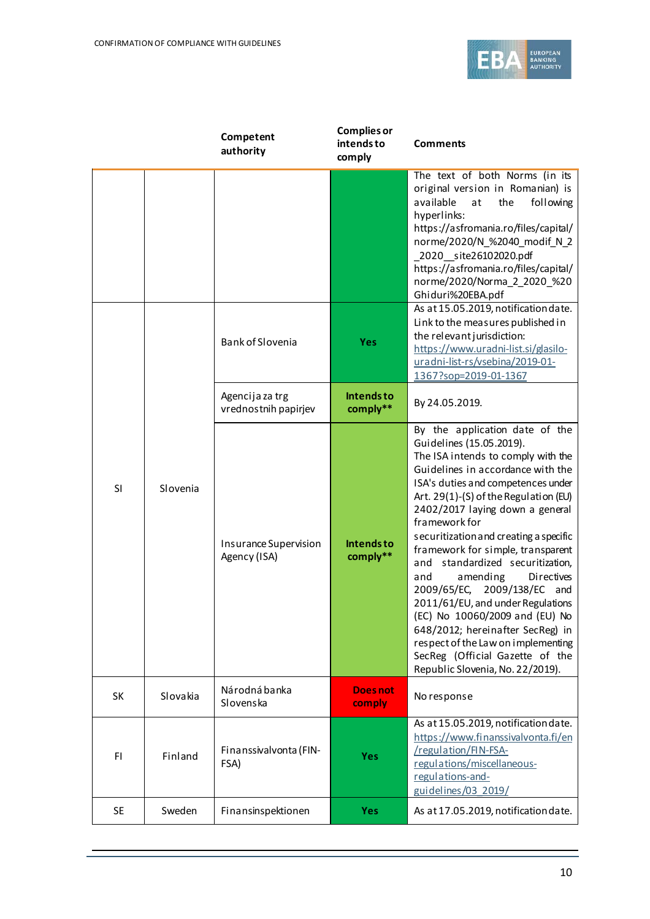

|           |          | Competent<br>authority                  | <b>Complies or</b><br>intends to<br>comply | <b>Comments</b>                                                                                                                                                                                                                                                                                                                                                                                                                                                                                                                                                                                                                                                                        |
|-----------|----------|-----------------------------------------|--------------------------------------------|----------------------------------------------------------------------------------------------------------------------------------------------------------------------------------------------------------------------------------------------------------------------------------------------------------------------------------------------------------------------------------------------------------------------------------------------------------------------------------------------------------------------------------------------------------------------------------------------------------------------------------------------------------------------------------------|
|           |          |                                         |                                            | The text of both Norms (in its<br>original version in Romanian) is<br>available<br>at<br>the<br>following<br>hyperlinks:<br>https://asfromania.ro/files/capital/<br>norme/2020/N %2040 modif N 2<br>2020 site26102020.pdf<br>https://asfromania.ro/files/capital/<br>norme/2020/Norma_2_2020_%20<br>Ghiduri%20EBA.pdf                                                                                                                                                                                                                                                                                                                                                                  |
|           |          | Bank of Slovenia                        | Yes                                        | As at 15.05.2019, notification date.<br>Link to the measures published in<br>the relevant jurisdiction:<br>https://www.uradni-list.si/glasilo-<br>uradni-list-rs/vsebina/2019-01-<br>1367?sop=2019-01-1367                                                                                                                                                                                                                                                                                                                                                                                                                                                                             |
|           |          | Agencija za trg<br>vrednostnih papirjev | Intends to<br>comply**                     | By 24.05.2019.                                                                                                                                                                                                                                                                                                                                                                                                                                                                                                                                                                                                                                                                         |
| SI        | Slovenia | Insurance Supervision<br>Agency (ISA)   | Intends to<br>comply**                     | By the application date of the<br>Guidelines (15.05.2019).<br>The ISA intends to comply with the<br>Guidelines in accordance with the<br>ISA's duties and competences under<br>Art. 29(1)-(S) of the Regulation (EU)<br>2402/2017 laying down a general<br>framework for<br>securitization and creating a specific<br>framework for simple, transparent<br>and standardized securitization,<br>amending<br>Directives<br>and<br>2009/65/EC, 2009/138/EC<br>and<br>2011/61/EU, and under Regulations<br>(EC) No 10060/2009 and (EU) No<br>648/2012; hereinafter SecReg) in<br>respect of the Law on implementing<br>SecReg (Official Gazette of the<br>Republic Slovenia, No. 22/2019). |
| SK        | Slovakia | Národná banka<br>Slovenska              | <b>Doesnot</b><br>comply                   | No response                                                                                                                                                                                                                                                                                                                                                                                                                                                                                                                                                                                                                                                                            |
| FI        | Finland  | Finanssivalvonta (FIN-<br>FSA)          | <b>Yes</b>                                 | As at 15.05.2019, notification date.<br>https://www.finanssivalvonta.fi/en<br>/regulation/FIN-FSA-<br>regulations/miscellaneous-<br>regulations-and-<br>guidelines/03 2019/                                                                                                                                                                                                                                                                                                                                                                                                                                                                                                            |
| <b>SE</b> | Sweden   | Finansinspektionen                      | <b>Yes</b>                                 | As at 17.05.2019, notification date.                                                                                                                                                                                                                                                                                                                                                                                                                                                                                                                                                                                                                                                   |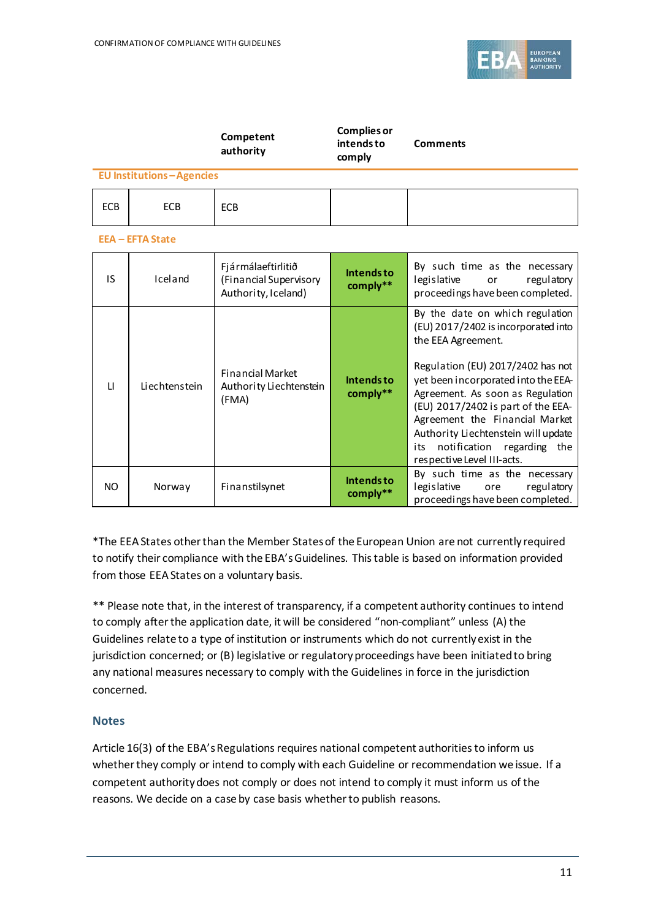

|            |                                 | Competent<br>authority                                              | <b>Complies or</b><br>intends to<br>comply | <b>Comments</b>                                                                                                                                                                                                                                                                                                                                                                                |
|------------|---------------------------------|---------------------------------------------------------------------|--------------------------------------------|------------------------------------------------------------------------------------------------------------------------------------------------------------------------------------------------------------------------------------------------------------------------------------------------------------------------------------------------------------------------------------------------|
|            | <b>EU Institutions-Agencies</b> |                                                                     |                                            |                                                                                                                                                                                                                                                                                                                                                                                                |
| <b>ECB</b> | <b>ECB</b>                      | ECB                                                                 |                                            |                                                                                                                                                                                                                                                                                                                                                                                                |
|            | <b>EEA - EFTA State</b>         |                                                                     |                                            |                                                                                                                                                                                                                                                                                                                                                                                                |
| IS.        | Iceland                         | Fjármálaeftirlitið<br>(Financial Supervisory<br>Authority, Iceland) | <b>Intendsto</b><br>comply**               | By such time as the necessary<br>legislative<br>regulatory<br>or<br>proceedings have been completed.                                                                                                                                                                                                                                                                                           |
| $\Box$     | Liechtenstein                   | <b>Financial Market</b><br>Authority Liechtenstein<br>(FMA)         | <b>Intendsto</b><br>comply**               | By the date on which regulation<br>(EU) 2017/2402 is incorporated into<br>the EEA Agreement.<br>Regulation (EU) 2017/2402 has not<br>yet been incorporated into the EEA-<br>Agreement. As soon as Regulation<br>(EU) 2017/2402 is part of the EEA-<br>Agreement the Financial Market<br>Authority Liechtenstein will update<br>notification regarding the<br>its<br>respective Level III-acts. |
| <b>NO</b>  | Norway                          | Finanstilsynet                                                      | <b>Intendsto</b><br>comply**               | By such time as the necessary<br>legislative<br>regulatory<br>ore<br>proceedings have been completed.                                                                                                                                                                                                                                                                                          |

\*The EEA States other than the Member States of the European Union are not currently required to notify their compliance with the EBA's Guidelines. This table is based on information provided from those EEA States on a voluntary basis.

\*\* Please note that, in the interest of transparency, if a competent authority continues to intend to comply after the application date, it will be considered "non-compliant" unless (A) the Guidelines relate to a type of institution or instruments which do not currently exist in the jurisdiction concerned; or (B) legislative or regulatory proceedings have been initiated to bring any national measures necessary to comply with the Guidelines in force in the jurisdiction concerned.

## **Notes**

Article 16(3) of the EBA's Regulations requires national competent authorities to inform us whether they comply or intend to comply with each Guideline or recommendation we issue. If a competent authority does not comply or does not intend to comply it must inform us of the reasons. We decide on a case by case basis whether to publish reasons.